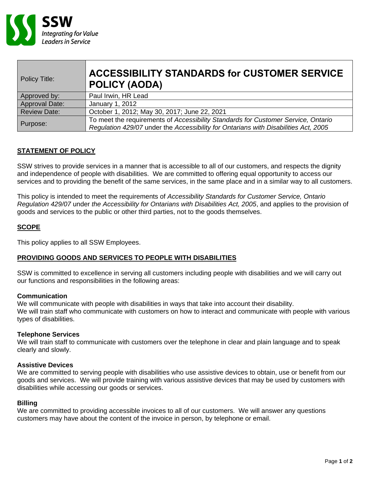

| Policy Title:       | <b>ACCESSIBILITY STANDARDS for CUSTOMER SERVICE</b><br>POLICY (AODA)                                                                                                     |
|---------------------|--------------------------------------------------------------------------------------------------------------------------------------------------------------------------|
| Approved by:        | Paul Irwin, HR Lead                                                                                                                                                      |
| Approval Date:      | January 1, 2012                                                                                                                                                          |
| <b>Review Date:</b> | October 1, 2012; May 30, 2017; June 22, 2021                                                                                                                             |
| Purpose:            | To meet the requirements of Accessibility Standards for Customer Service, Ontario<br>Regulation 429/07 under the Accessibility for Ontarians with Disabilities Act, 2005 |

# **STATEMENT OF POLICY**

SSW strives to provide services in a manner that is accessible to all of our customers, and respects the dignity and independence of people with disabilities. We are committed to offering equal opportunity to access our services and to providing the benefit of the same services, in the same place and in a similar way to all customers.

This policy is intended to meet the requirements of *Accessibility Standards for Customer Service, Ontario Regulation 429/07* under *the Accessibility for Ontarians with Disabilities Act, 2005*, and applies to the provision of goods and services to the public or other third parties, not to the goods themselves.

### **SCOPE**

This policy applies to all SSW Employees.

# **PROVIDING GOODS AND SERVICES TO PEOPLE WITH DISABILITIES**

SSW is committed to excellence in serving all customers including people with disabilities and we will carry out our functions and responsibilities in the following areas:

### **Communication**

We will communicate with people with disabilities in ways that take into account their disability. We will train staff who communicate with customers on how to interact and communicate with people with various types of disabilities.

### **Telephone Services**

We will train staff to communicate with customers over the telephone in clear and plain language and to speak clearly and slowly.

### **Assistive Devices**

We are committed to serving people with disabilities who use assistive devices to obtain, use or benefit from our goods and services. We will provide training with various assistive devices that may be used by customers with disabilities while accessing our goods or services.

### **Billing**

We are committed to providing accessible invoices to all of our customers. We will answer any questions customers may have about the content of the invoice in person, by telephone or email.